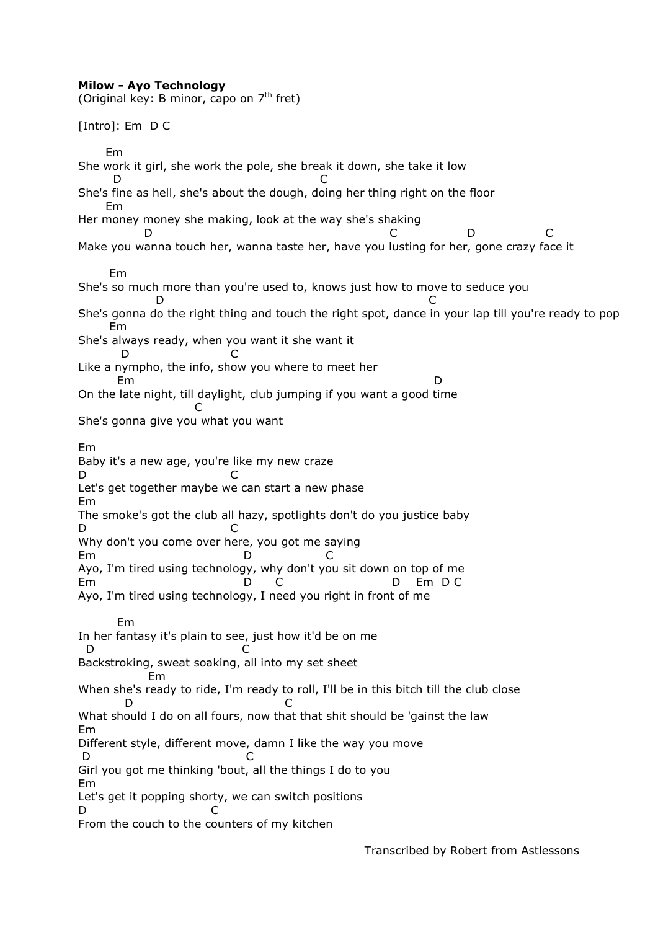## **Milow - Ayo Technology**

(Original key: B minor, capo on  $7<sup>th</sup>$  fret) [Intro]: Em D C Em She work it girl, she work the pole, she break it down, she take it low D C She's fine as hell, she's about the dough, doing her thing right on the floor Em Her money money she making, look at the way she's shaking D C D C Make you wanna touch her, wanna taste her, have you lusting for her, gone crazy face it Em She's so much more than you're used to, knows just how to move to seduce you D C She's gonna do the right thing and touch the right spot, dance in your lap till you're ready to pop Em She's always ready, when you want it she want it D C Like a nympho, the info, show you where to meet her Em D On the late night, till daylight, club jumping if you want a good time **C** and the contract of the contract of the contract of the contract of the contract of the contract of the contract of the contract of the contract of the contract of the contract of the contract of the contract of the co She's gonna give you what you want Em Baby it's a new age, you're like my new craze D C Let's get together maybe we can start a new phase Em The smoke's got the club all hazy, spotlights don't do you justice baby D C Why don't you come over here, you got me saying Em D C Ayo, I'm tired using technology, why don't you sit down on top of me Em D C D Em D C Ayo, I'm tired using technology, I need you right in front of me Em In her fantasy it's plain to see, just how it'd be on me D C Backstroking, sweat soaking, all into my set sheet Em When she's ready to ride, I'm ready to roll, I'll be in this bitch till the club close D C What should I do on all fours, now that that shit should be 'gainst the law Em Different style, different move, damn I like the way you move D C Girl you got me thinking 'bout, all the things I do to you Em Let's get it popping shorty, we can switch positions D C From the couch to the counters of my kitchen